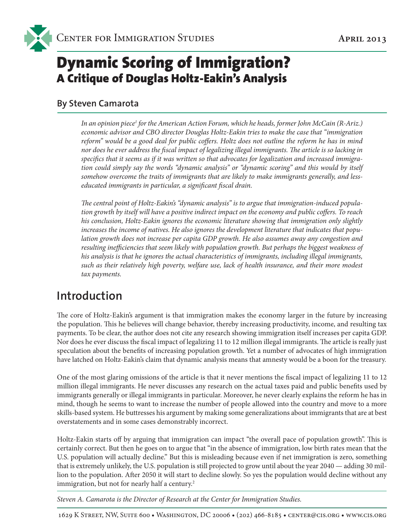# Dynamic Scoring of Immigration? A Critique of Douglas Holtz-Eakin's Analysis

#### **By Steven Camarota**

In an opinion piece<sup>1</sup> for the American Action Forum, which he heads, former John McCain (R-Ariz.) *economic advisor and CBO director Douglas Holtz-Eakin tries to make the case that "immigration reform" would be a good deal for public coffers. Holtz does not outline the reform he has in mind nor does he ever address the fiscal impact of legalizing illegal immigrants. The article is so lacking in specifics that it seems as if it was written so that advocates for legalization and increased immigration could simply say the words "dynamic analysis" or "dynamic scoring" and this would by itself somehow overcome the traits of immigrants that are likely to make immigrants generally, and lesseducated immigrants in particular, a significant fiscal drain.* 

*The central point of Holtz-Eakin's "dynamic analysis" is to argue that immigration-induced population growth by itself will have a positive indirect impact on the economy and public coffers. To reach his conclusion, Holtz-Eakin ignores the economic literature showing that immigration only slightly increases the income of natives. He also ignores the development literature that indicates that population growth does not increase per capita GDP growth. He also assumes away any congestion and resulting inefficiencies that seem likely with population growth. But perhaps the biggest weakness of his analysis is that he ignores the actual characteristics of immigrants, including illegal immigrants, such as their relatively high poverty, welfare use, lack of health insurance, and their more modest tax payments.* 

#### **Introduction**

The core of Holtz-Eakin's argument is that immigration makes the economy larger in the future by increasing the population. This he believes will change behavior, thereby increasing productivity, income, and resulting tax payments. To be clear, the author does not cite any research showing immigration itself increases per capita GDP. Nor does he ever discuss the fiscal impact of legalizing 11 to 12 million illegal immigrants. The article is really just speculation about the benefits of increasing population growth. Yet a number of advocates of high immigration have latched on Holtz-Eakin's claim that dynamic analysis means that amnesty would be a boon for the treasury.

One of the most glaring omissions of the article is that it never mentions the fiscal impact of legalizing 11 to 12 million illegal immigrants. He never discusses any research on the actual taxes paid and public benefits used by immigrants generally or illegal immigrants in particular. Moreover, he never clearly explains the reform he has in mind, though he seems to want to increase the number of people allowed into the country and move to a more skills-based system. He buttresses his argument by making some generalizations about immigrants that are at best overstatements and in some cases demonstrably incorrect.

Holtz-Eakin starts off by arguing that immigration can impact "the overall pace of population growth". This is certainly correct. But then he goes on to argue that "in the absence of immigration, low birth rates mean that the U.S. population will actually decline." But this is misleading because even if net immigration is zero, something that is extremely unlikely, the U.S. population is still projected to grow until about the year 2040 — adding 30 million to the population. After 2050 it will start to decline slowly. So yes the population would decline without any immigration, but not for nearly half a century.<sup>2</sup>

*Steven A. Camarota is the Director of Research at the Center for Immigration Studies.*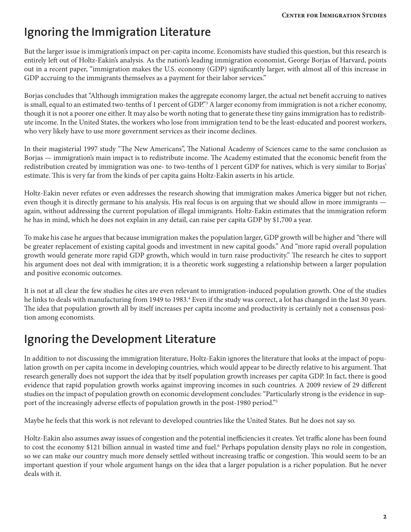### **Ignoring the Immigration Literature**

But the larger issue is immigration's impact on per-capita income. Economists have studied this question, but this research is entirely left out of Holtz-Eakin's analysis. As the nation's leading immigration economist, George Borjas of Harvard, points out in a recent paper, "immigration makes the U.S. economy (GDP) significantly larger, with almost all of this increase in GDP accruing to the immigrants themselves as a payment for their labor services."

Borjas concludes that "Although immigration makes the aggregate economy larger, the actual net benefit accruing to natives is small, equal to an estimated two-tenths of 1 percent of GDP."3 A larger economy from immigration is not a richer economy, though it is not a poorer one either. It may also be worth noting that to generate these tiny gains immigration has to redistribute income. In the United States, the workers who lose from immigration tend to be the least-educated and poorest workers, who very likely have to use more government services as their income declines.

In their magisterial 1997 study "The New Americans", The National Academy of Sciences came to the same conclusion as Borjas — immigration's main impact is to redistribute income. The Academy estimated that the economic benefit from the redistribution created by immigration was one- to two-tenths of 1 percent GDP for natives, which is very similar to Borjas' estimate. This is very far from the kinds of per capita gains Holtz-Eakin asserts in his article.

Holtz-Eakin never refutes or even addresses the research showing that immigration makes America bigger but not richer, even though it is directly germane to his analysis. His real focus is on arguing that we should allow in more immigrants again, without addressing the current population of illegal immigrants. Holtz-Eakin estimates that the immigration reform he has in mind, which he does not explain in any detail, can raise per capita GDP by \$1,700 a year.

To make his case he argues that because immigration makes the population larger, GDP growth will be higher and "there will be greater replacement of existing capital goods and investment in new capital goods." And "more rapid overall population growth would generate more rapid GDP growth, which would in turn raise productivity." The research he cites to support his argument does not deal with immigration; it is a theoretic work suggesting a relationship between a larger population and positive economic outcomes.

It is not at all clear the few studies he cites are even relevant to immigration-induced population growth. One of the studies he links to deals with manufacturing from 1949 to 1983.<sup>4</sup> Even if the study was correct, a lot has changed in the last 30 years. The idea that population growth all by itself increases per capita income and productivity is certainly not a consensus position among economists.

## **Ignoring the Development Literature**

In addition to not discussing the immigration literature, Holtz-Eakin ignores the literature that looks at the impact of population growth on per capita income in developing countries, which would appear to be directly relative to his argument. That research generally does not support the idea that by itself population growth increases per capita GDP. In fact, there is good evidence that rapid population growth works against improving incomes in such countries. A 2009 review of 29 different studies on the impact of population growth on economic development concludes: "Particularly strong is the evidence in support of the increasingly adverse effects of population growth in the post-1980 period."5

Maybe he feels that this work is not relevant to developed countries like the United States. But he does not say so.

Holtz-Eakin also assumes away issues of congestion and the potential inefficiencies it creates. Yet traffic alone has been found to cost the economy \$121 billion annual in wasted time and fuel.<sup>6</sup> Perhaps population density plays no role in congestion, so we can make our country much more densely settled without increasing traffic or congestion. This would seem to be an important question if your whole argument hangs on the idea that a larger population is a richer population. But he never deals with it.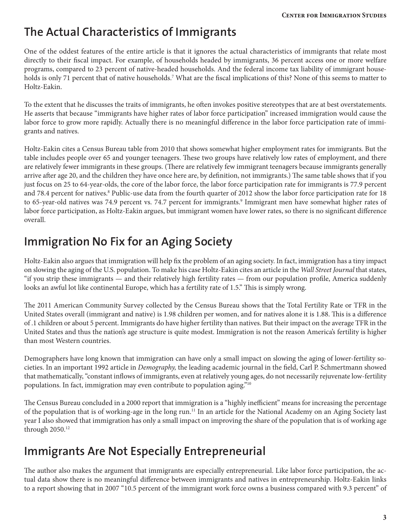### **The Actual Characteristics of Immigrants**

One of the oddest features of the entire article is that it ignores the actual characteristics of immigrants that relate most directly to their fiscal impact. For example, of households headed by immigrants, 36 percent access one or more welfare programs, compared to 23 percent of native-headed households. And the federal income tax liability of immigrant households is only 71 percent that of native households.7 What are the fiscal implications of this? None of this seems to matter to Holtz-Eakin.

To the extent that he discusses the traits of immigrants, he often invokes positive stereotypes that are at best overstatements. He asserts that because "immigrants have higher rates of labor force participation" increased immigration would cause the labor force to grow more rapidly. Actually there is no meaningful difference in the labor force participation rate of immigrants and natives.

Holtz-Eakin cites a Census Bureau table from 2010 that shows somewhat higher employment rates for immigrants. But the table includes people over 65 and younger teenagers. These two groups have relatively low rates of employment, and there are relatively fewer immigrants in these groups. (There are relatively few immigrant teenagers because immigrants generally arrive after age 20, and the children they have once here are, by definition, not immigrants.) The same table shows that if you just focus on 25 to 64-year-olds, the core of the labor force, the labor force participation rate for immigrants is 77.9 percent and 78.4 percent for natives.<sup>8</sup> Public-use data from the fourth quarter of 2012 show the labor force participation rate for 18 to 65-year-old natives was 74.9 percent vs. 74.7 percent for immigrants.<sup>9</sup> Immigrant men have somewhat higher rates of labor force participation, as Holtz-Eakin argues, but immigrant women have lower rates, so there is no significant difference overall.

### **Immigration No Fix for an Aging Society**

Holtz-Eakin also argues that immigration will help fix the problem of an aging society. In fact, immigration has a tiny impact on slowing the aging of the U.S. population. To make his case Holtz-Eakin cites an article in the *Wall Street Journal* that states, "if you strip these immigrants — and their relatively high fertility rates — from our population profile, America suddenly looks an awful lot like continental Europe, which has a fertility rate of 1.5." This is simply wrong.

The 2011 American Community Survey collected by the Census Bureau shows that the Total Fertility Rate or TFR in the United States overall (immigrant and native) is 1.98 children per women, and for natives alone it is 1.88. This is a difference of .1 children or about 5 percent. Immigrants do have higher fertility than natives. But their impact on the average TFR in the United States and thus the nation's age structure is quite modest. Immigration is not the reason America's fertility is higher than most Western countries.

Demographers have long known that immigration can have only a small impact on slowing the aging of lower-fertility societies. In an important 1992 article in *Demography,* the leading academic journal in the field, Carl P. Schmertmann showed that mathematically, "constant inflows of immigrants, even at relatively young ages, do not necessarily rejuvenate low-fertility populations. In fact, immigration may even contribute to population aging."10

The Census Bureau concluded in a 2000 report that immigration is a "highly inefficient" means for increasing the percentage of the population that is of working-age in the long run.<sup>11</sup> In an article for the National Academy on an Aging Society last year I also showed that immigration has only a small impact on improving the share of the population that is of working age through 2050.12

#### **Immigrants Are Not Especially Entrepreneurial**

The author also makes the argument that immigrants are especially entrepreneurial. Like labor force participation, the actual data show there is no meaningful difference between immigrants and natives in entrepreneurship. Holtz-Eakin links to a report showing that in 2007 "10.5 percent of the immigrant work force owns a business compared with 9.3 percent" of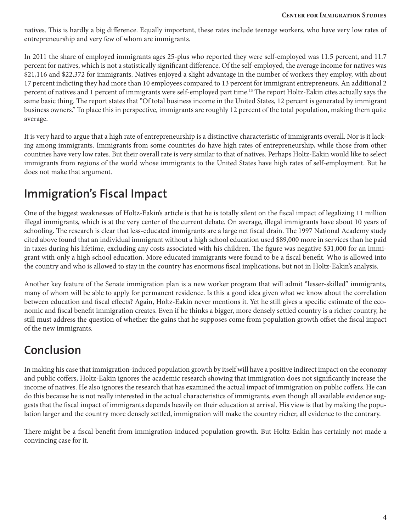natives. This is hardly a big difference. Equally important, these rates include teenage workers, who have very low rates of entrepreneurship and very few of whom are immigrants.

In 2011 the share of employed immigrants ages 25-plus who reported they were self-employed was 11.5 percent, and 11.7 percent for natives, which is not a statistically significant difference. Of the self-employed, the average income for natives was \$21,116 and \$22,372 for immigrants. Natives enjoyed a slight advantage in the number of workers they employ, with about 17 percent indicting they had more than 10 employees compared to 13 percent for immigrant entrepreneurs. An additional 2 percent of natives and 1 percent of immigrants were self-employed part time.<sup>13</sup> The report Holtz-Eakin cites actually says the same basic thing. The report states that "Of total business income in the United States, 12 percent is generated by immigrant business owners." To place this in perspective, immigrants are roughly 12 percent of the total population, making them quite average.

It is very hard to argue that a high rate of entrepreneurship is a distinctive characteristic of immigrants overall. Nor is it lacking among immigrants. Immigrants from some countries do have high rates of entrepreneurship, while those from other countries have very low rates. But their overall rate is very similar to that of natives. Perhaps Holtz-Eakin would like to select immigrants from regions of the world whose immigrants to the United States have high rates of self-employment. But he does not make that argument.

#### **Immigration's Fiscal Impact**

One of the biggest weaknesses of Holtz-Eakin's article is that he is totally silent on the fiscal impact of legalizing 11 million illegal immigrants, which is at the very center of the current debate. On average, illegal immigrants have about 10 years of schooling. The research is clear that less-educated immigrants are a large net fiscal drain. The 1997 National Academy study cited above found that an individual immigrant without a high school education used \$89,000 more in services than he paid in taxes during his lifetime, excluding any costs associated with his children. The figure was negative \$31,000 for an immigrant with only a high school education. More educated immigrants were found to be a fiscal benefit. Who is allowed into the country and who is allowed to stay in the country has enormous fiscal implications, but not in Holtz-Eakin's analysis.

Another key feature of the Senate immigration plan is a new worker program that will admit "lesser-skilled" immigrants, many of whom will be able to apply for permanent residence. Is this a good idea given what we know about the correlation between education and fiscal effects? Again, Holtz-Eakin never mentions it. Yet he still gives a specific estimate of the economic and fiscal benefit immigration creates. Even if he thinks a bigger, more densely settled country is a richer country, he still must address the question of whether the gains that he supposes come from population growth offset the fiscal impact of the new immigrants.

#### **Conclusion**

In making his case that immigration-induced population growth by itself will have a positive indirect impact on the economy and public coffers, Holtz-Eakin ignores the academic research showing that immigration does not significantly increase the income of natives. He also ignores the research that has examined the actual impact of immigration on public coffers. He can do this because he is not really interested in the actual characteristics of immigrants, even though all available evidence suggests that the fiscal impact of immigrants depends heavily on their education at arrival. His view is that by making the population larger and the country more densely settled, immigration will make the country richer, all evidence to the contrary.

There might be a fiscal benefit from immigration-induced population growth. But Holtz-Eakin has certainly not made a convincing case for it.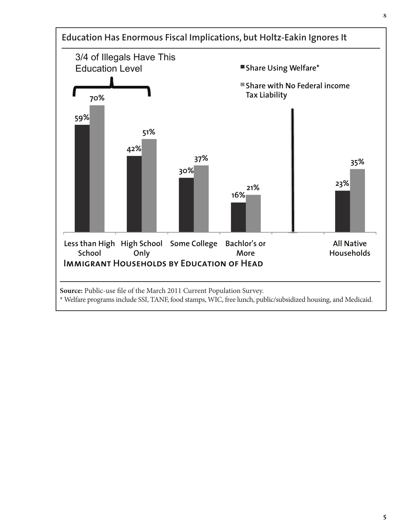